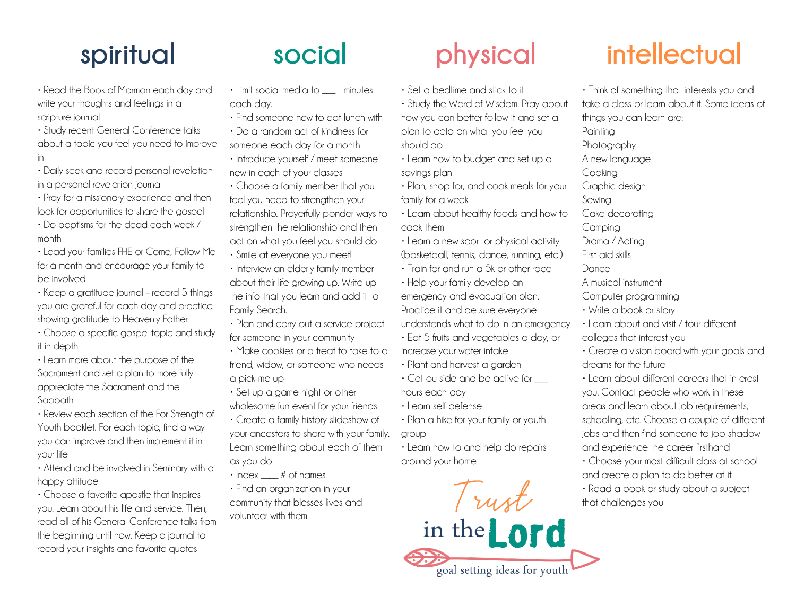- Read the Book of Mormon each day and write your thoughts and feelings in a scripture journal
- Study recent General Conference talks about a topic you feel you need to improve in
- Daily seek and record personal revelation in a personal revelation journal
- Pray for a missionary experience and then look for opportunities to share the gospel
- Do baptisms for the dead each week / month
- Lead your families FHE or Come, Follow Me for a month and encourage your family to be involved
- Keep a gratitude journal record 5 things you are grateful for each day and practice showing gratitude to Heavenly Father
- Choose a specific gospel topic and study it in depth
- Learn more about the purpose of the Sacrament and set a plan to more fully appreciate the Sacrament and the Sabbath
- Review each section of the For Strength of Youth booklet. For each topic, find a way you can improve and then implement it in your life
- Attend and be involved in Seminary with a happy attitude
- Choose a favorite apostle that inspires you. Learn about his life and service. Then, read all of his General Conference talks from the beginning until now. Keep a journal to record your insights and favorite quotes

- Limit social media to \_\_\_ minutes each day.
- Find someone new to eat lunch with • Do a random act of kindness for
- someone each day for a month • Introduce yourself / meet someone new in each of your classes
- Choose a family member that you feel you need to strengthen your relationship. Prayerfully ponder ways to strengthen the relationship and then act on what you feel you should do
- Smile at everyone you meet!
- Interview an elderly family member about their life growing up. Write up the info that you learn and add it to Family Search.
- Plan and carry out a service project for someone in your community
- Make cookies or a treat to take to a friend, widow, or someone who needs a pick-me up
- Set up a game night or other wholesome fun event for your friends • Create a family history slideshow of
- your ancestors to share with your family. Learn something about each of them as you do
- $\cdot$  Index  $\qquad$  # of names
- Find an organization in your community that blesses lives and volunteer with them

- Set a bedtime and stick to it
- Study the Word of Wisdom. Pray about how you can better follow it and set a plan to acto on what you feel you should do
- Learn how to budget and set up a savings plan
- Plan, shop for, and cook meals for your family for a week
- Learn about healthy foods and how to cook them
- Learn a new sport or physical activity (basketball, tennis, dance, running, etc.)
- Train for and run a 5k or other race
- Help your family develop an emergency and evacuation plan. Practice it and be sure everyone understands what to do in an emergency
- Eat 5 fruits and vegetables a day, or increase your water intake
- Plant and harvest a garden
- $\cdot$  Get outside and be active for hours each day
- Learn self defense
- Plan a hike for your family or youth group
- Learn how to and help do repairs around your home

Trust

in the Lord

goal setting ideas for youth

## **spiritual social physical intellectual**

- Think of something that interests you and take a class or learn about it. Some ideas of things you can learn are: **Painting Photography** A new language Cooking Graphic design Sewing Cake decorating Camping Drama / Acting First aid skills **Dance** A musical instrument Computer programming • Write a book or story • Learn about and visit / tour different colleges that interest you • Create a vision board with your goals and dreams for the future • Learn about different careers that interest you. Contact people who work in these areas and learn about job requirements,
- schooling, etc. Choose a couple of different jobs and then find someone to job shadow and experience the career firsthand
- Choose your most difficult class at school and create a plan to do better at it • Read a book or study about a subject that challenges you